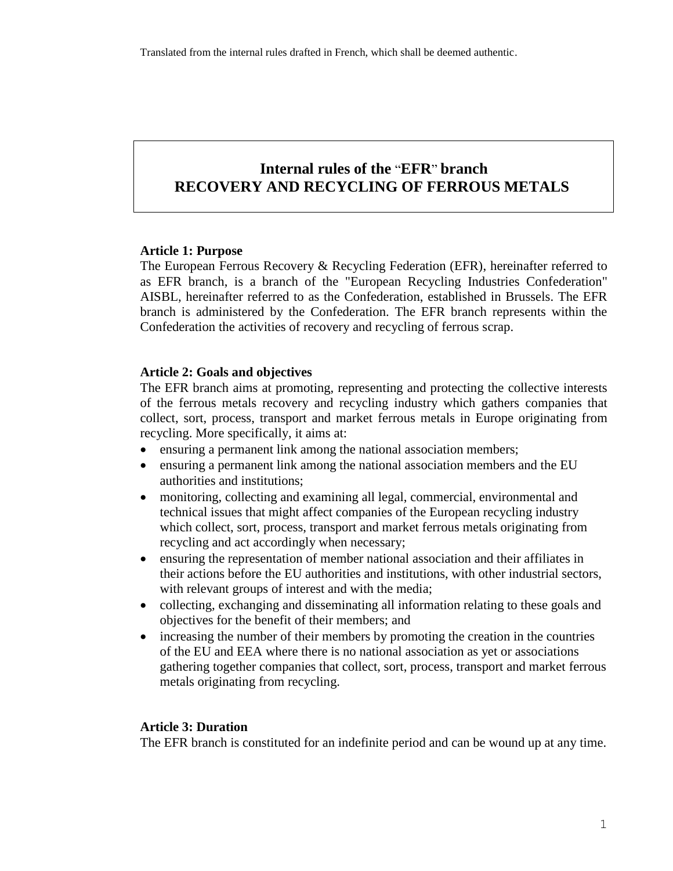# **Internal rules of the** "**EFR**" **branch RECOVERY AND RECYCLING OF FERROUS METALS**

## **Article 1: Purpose**

The European Ferrous Recovery & Recycling Federation (EFR), hereinafter referred to as EFR branch, is a branch of the "European Recycling Industries Confederation" AISBL, hereinafter referred to as the Confederation, established in Brussels. The EFR branch is administered by the Confederation. The EFR branch represents within the Confederation the activities of recovery and recycling of ferrous scrap.

#### **Article 2: Goals and objectives**

The EFR branch aims at promoting, representing and protecting the collective interests of the ferrous metals recovery and recycling industry which gathers companies that collect, sort, process, transport and market ferrous metals in Europe originating from recycling. More specifically, it aims at:

- ensuring a permanent link among the national association members;
- ensuring a permanent link among the national association members and the EU authorities and institutions;
- monitoring, collecting and examining all legal, commercial, environmental and technical issues that might affect companies of the European recycling industry which collect, sort, process, transport and market ferrous metals originating from recycling and act accordingly when necessary;
- ensuring the representation of member national association and their affiliates in their actions before the EU authorities and institutions, with other industrial sectors, with relevant groups of interest and with the media;
- collecting, exchanging and disseminating all information relating to these goals and objectives for the benefit of their members; and
- increasing the number of their members by promoting the creation in the countries of the EU and EEA where there is no national association as yet or associations gathering together companies that collect, sort, process, transport and market ferrous metals originating from recycling.

#### **Article 3: Duration**

The EFR branch is constituted for an indefinite period and can be wound up at any time.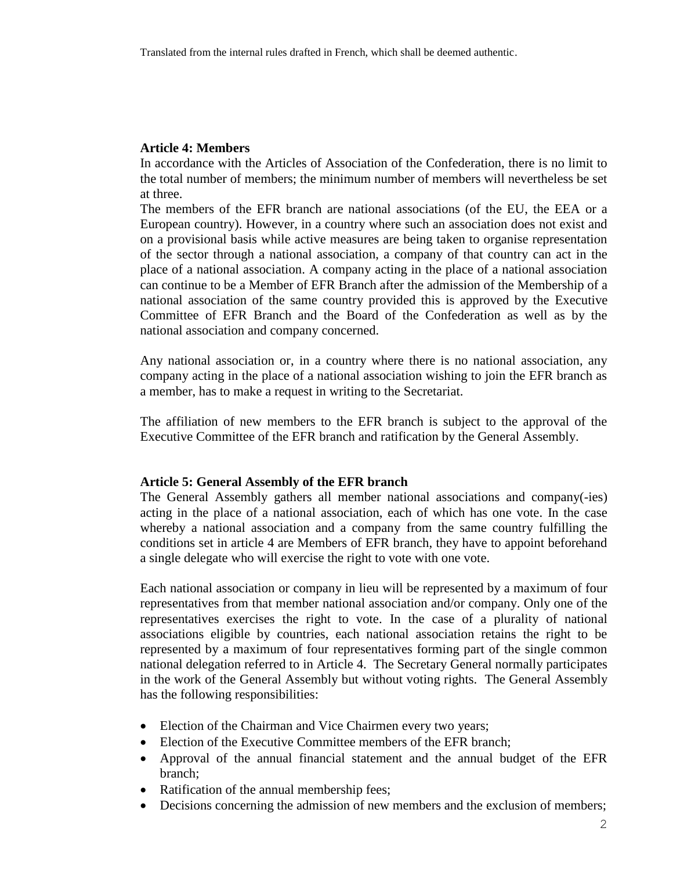## **Article 4: Members**

In accordance with the Articles of Association of the Confederation, there is no limit to the total number of members; the minimum number of members will nevertheless be set at three.

The members of the EFR branch are national associations (of the EU, the EEA or a European country). However, in a country where such an association does not exist and on a provisional basis while active measures are being taken to organise representation of the sector through a national association, a company of that country can act in the place of a national association. A company acting in the place of a national association can continue to be a Member of EFR Branch after the admission of the Membership of a national association of the same country provided this is approved by the Executive Committee of EFR Branch and the Board of the Confederation as well as by the national association and company concerned.

Any national association or, in a country where there is no national association, any company acting in the place of a national association wishing to join the EFR branch as a member, has to make a request in writing to the Secretariat.

The affiliation of new members to the EFR branch is subject to the approval of the Executive Committee of the EFR branch and ratification by the General Assembly.

#### **Article 5: General Assembly of the EFR branch**

The General Assembly gathers all member national associations and company(-ies) acting in the place of a national association, each of which has one vote. In the case whereby a national association and a company from the same country fulfilling the conditions set in article 4 are Members of EFR branch, they have to appoint beforehand a single delegate who will exercise the right to vote with one vote.

Each national association or company in lieu will be represented by a maximum of four representatives from that member national association and/or company. Only one of the representatives exercises the right to vote. In the case of a plurality of national associations eligible by countries, each national association retains the right to be represented by a maximum of four representatives forming part of the single common national delegation referred to in Article 4. The Secretary General normally participates in the work of the General Assembly but without voting rights. The General Assembly has the following responsibilities:

- Election of the Chairman and Vice Chairmen every two years;
- Election of the Executive Committee members of the EFR branch;
- Approval of the annual financial statement and the annual budget of the EFR branch;
- Ratification of the annual membership fees;
- Decisions concerning the admission of new members and the exclusion of members;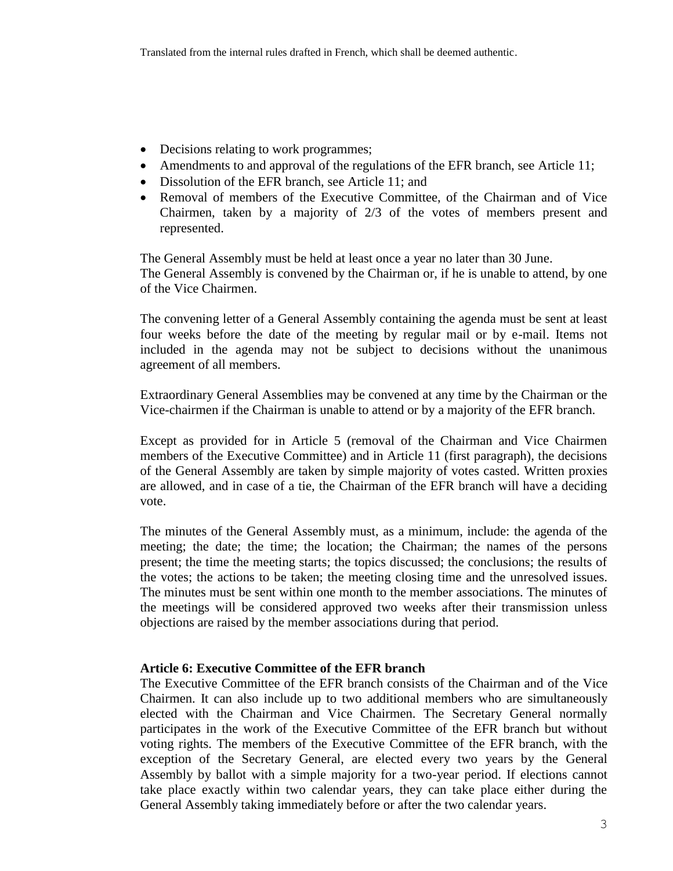- Decisions relating to work programmes;
- Amendments to and approval of the regulations of the EFR branch, see Article 11;
- Dissolution of the EFR branch, see Article 11; and
- Removal of members of the Executive Committee, of the Chairman and of Vice Chairmen, taken by a majority of 2/3 of the votes of members present and represented.

The General Assembly must be held at least once a year no later than 30 June. The General Assembly is convened by the Chairman or, if he is unable to attend, by one of the Vice Chairmen.

The convening letter of a General Assembly containing the agenda must be sent at least four weeks before the date of the meeting by regular mail or by e-mail. Items not included in the agenda may not be subject to decisions without the unanimous agreement of all members.

Extraordinary General Assemblies may be convened at any time by the Chairman or the Vice-chairmen if the Chairman is unable to attend or by a majority of the EFR branch.

Except as provided for in Article 5 (removal of the Chairman and Vice Chairmen members of the Executive Committee) and in Article 11 (first paragraph), the decisions of the General Assembly are taken by simple majority of votes casted. Written proxies are allowed, and in case of a tie, the Chairman of the EFR branch will have a deciding vote.

The minutes of the General Assembly must, as a minimum, include: the agenda of the meeting; the date; the time; the location; the Chairman; the names of the persons present; the time the meeting starts; the topics discussed; the conclusions; the results of the votes; the actions to be taken; the meeting closing time and the unresolved issues. The minutes must be sent within one month to the member associations. The minutes of the meetings will be considered approved two weeks after their transmission unless objections are raised by the member associations during that period.

## **Article 6: Executive Committee of the EFR branch**

The Executive Committee of the EFR branch consists of the Chairman and of the Vice Chairmen. It can also include up to two additional members who are simultaneously elected with the Chairman and Vice Chairmen. The Secretary General normally participates in the work of the Executive Committee of the EFR branch but without voting rights. The members of the Executive Committee of the EFR branch, with the exception of the Secretary General, are elected every two years by the General Assembly by ballot with a simple majority for a two-year period. If elections cannot take place exactly within two calendar years, they can take place either during the General Assembly taking immediately before or after the two calendar years.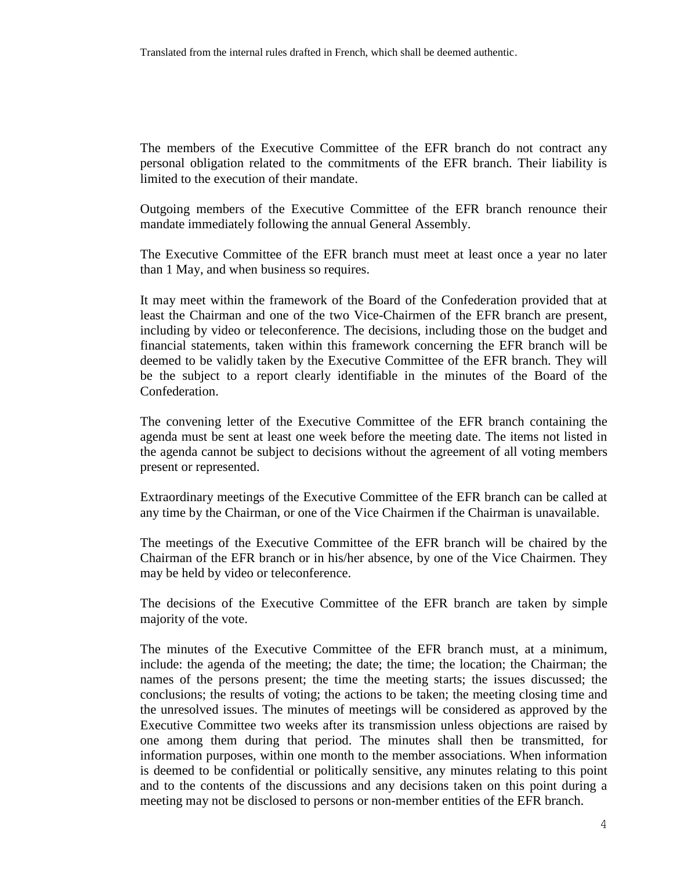The members of the Executive Committee of the EFR branch do not contract any personal obligation related to the commitments of the EFR branch. Their liability is limited to the execution of their mandate.

Outgoing members of the Executive Committee of the EFR branch renounce their mandate immediately following the annual General Assembly.

The Executive Committee of the EFR branch must meet at least once a year no later than 1 May, and when business so requires.

It may meet within the framework of the Board of the Confederation provided that at least the Chairman and one of the two Vice-Chairmen of the EFR branch are present, including by video or teleconference. The decisions, including those on the budget and financial statements, taken within this framework concerning the EFR branch will be deemed to be validly taken by the Executive Committee of the EFR branch. They will be the subject to a report clearly identifiable in the minutes of the Board of the Confederation.

The convening letter of the Executive Committee of the EFR branch containing the agenda must be sent at least one week before the meeting date. The items not listed in the agenda cannot be subject to decisions without the agreement of all voting members present or represented.

Extraordinary meetings of the Executive Committee of the EFR branch can be called at any time by the Chairman, or one of the Vice Chairmen if the Chairman is unavailable.

The meetings of the Executive Committee of the EFR branch will be chaired by the Chairman of the EFR branch or in his/her absence, by one of the Vice Chairmen. They may be held by video or teleconference.

The decisions of the Executive Committee of the EFR branch are taken by simple majority of the vote.

The minutes of the Executive Committee of the EFR branch must, at a minimum, include: the agenda of the meeting; the date; the time; the location; the Chairman; the names of the persons present; the time the meeting starts; the issues discussed; the conclusions; the results of voting; the actions to be taken; the meeting closing time and the unresolved issues. The minutes of meetings will be considered as approved by the Executive Committee two weeks after its transmission unless objections are raised by one among them during that period. The minutes shall then be transmitted, for information purposes, within one month to the member associations. When information is deemed to be confidential or politically sensitive, any minutes relating to this point and to the contents of the discussions and any decisions taken on this point during a meeting may not be disclosed to persons or non-member entities of the EFR branch.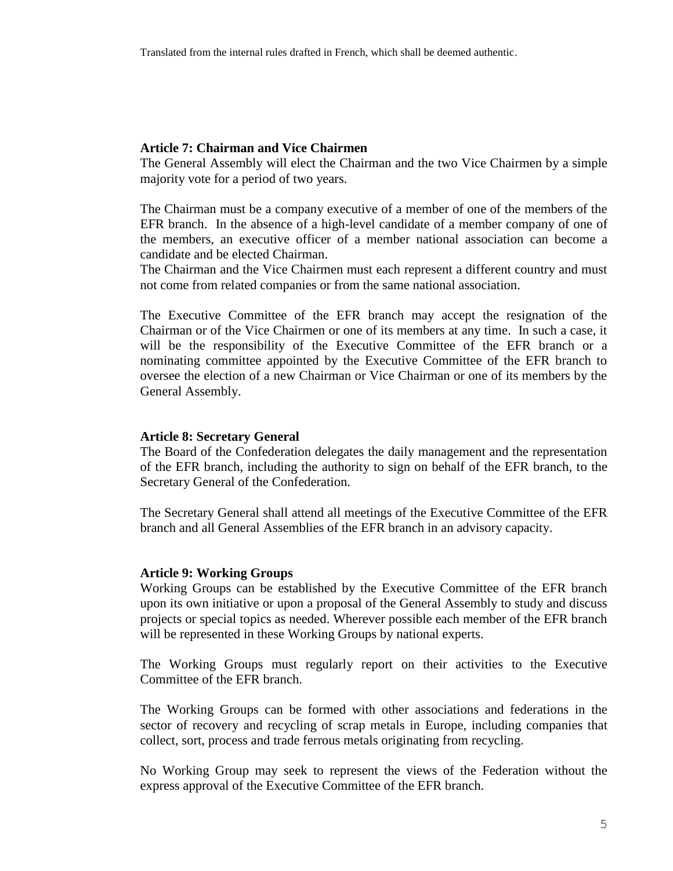### **Article 7: Chairman and Vice Chairmen**

The General Assembly will elect the Chairman and the two Vice Chairmen by a simple majority vote for a period of two years.

The Chairman must be a company executive of a member of one of the members of the EFR branch. In the absence of a high-level candidate of a member company of one of the members, an executive officer of a member national association can become a candidate and be elected Chairman.

The Chairman and the Vice Chairmen must each represent a different country and must not come from related companies or from the same national association.

The Executive Committee of the EFR branch may accept the resignation of the Chairman or of the Vice Chairmen or one of its members at any time. In such a case, it will be the responsibility of the Executive Committee of the EFR branch or a nominating committee appointed by the Executive Committee of the EFR branch to oversee the election of a new Chairman or Vice Chairman or one of its members by the General Assembly.

#### **Article 8: Secretary General**

The Board of the Confederation delegates the daily management and the representation of the EFR branch, including the authority to sign on behalf of the EFR branch, to the Secretary General of the Confederation.

The Secretary General shall attend all meetings of the Executive Committee of the EFR branch and all General Assemblies of the EFR branch in an advisory capacity.

#### **Article 9: Working Groups**

Working Groups can be established by the Executive Committee of the EFR branch upon its own initiative or upon a proposal of the General Assembly to study and discuss projects or special topics as needed. Wherever possible each member of the EFR branch will be represented in these Working Groups by national experts.

The Working Groups must regularly report on their activities to the Executive Committee of the EFR branch.

The Working Groups can be formed with other associations and federations in the sector of recovery and recycling of scrap metals in Europe, including companies that collect, sort, process and trade ferrous metals originating from recycling.

No Working Group may seek to represent the views of the Federation without the express approval of the Executive Committee of the EFR branch.